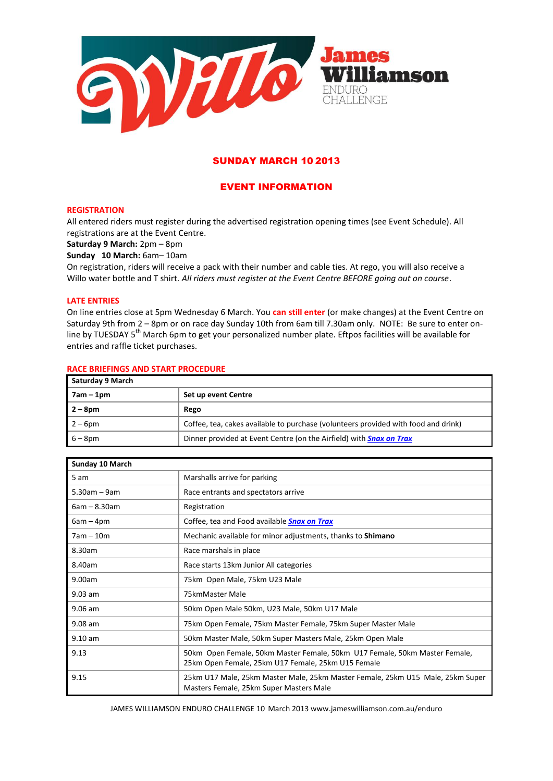

# SUNDAY MARCH 10 2013

# EVENT INFORMATION

# **REGISTRATION**

All entered riders must register during the advertised registration opening times (see Event Schedule). All registrations are at the Event Centre.

**Saturday 9 March:** 2pm – 8pm

**Sunday 10 March:** 6am– 10am

On registration, riders will receive a pack with their number and cable ties. At rego, you will also receive a Willo water bottle and T shirt. *All riders must register at the Event Centre BEFORE going out on course*.

# **LATE ENTRIES**

On line entries close at 5pm Wednesday 6 March. You **can still enter** (or make changes) at the Event Centre on Saturday 9th from 2 – 8pm or on race day Sunday 10th from 6am till 7.30am only. NOTE: Be sure to enter online by TUESDAY 5<sup>th</sup> March 6pm to get your personalized number plate. Eftpos facilities will be available for entries and raffle ticket purchases.

## **RACE BRIEFINGS AND START PROCEDURE**

| Saturday 9 March |                                                                                    |
|------------------|------------------------------------------------------------------------------------|
| 7am – 1pm        | Set up event Centre                                                                |
| $2 - 8$ pm       | Rego                                                                               |
| $2-6$ pm         | Coffee, tea, cakes available to purchase (volunteers provided with food and drink) |
| $6 - 8$ pm       | Dinner provided at Event Centre (on the Airfield) with <b>Snax on Trax</b>         |

| Sunday 10 March |                                                                                                                                  |
|-----------------|----------------------------------------------------------------------------------------------------------------------------------|
| 5 am            | Marshalls arrive for parking                                                                                                     |
| $5.30$ am – 9am | Race entrants and spectators arrive                                                                                              |
| $6am - 8.30am$  | Registration                                                                                                                     |
| $6am - 4pm$     | Coffee, tea and Food available <b>Snax on Trax</b>                                                                               |
| $7am - 10m$     | Mechanic available for minor adjustments, thanks to Shimano                                                                      |
| 8.30am          | Race marshals in place                                                                                                           |
| 8.40am          | Race starts 13km Junior All categories                                                                                           |
| 9.00am          | 75km Open Male, 75km U23 Male                                                                                                    |
| $9.03$ am       | 75kmMaster Male                                                                                                                  |
| $9.06$ am       | 50km Open Male 50km, U23 Male, 50km U17 Male                                                                                     |
| $9.08$ am       | 75km Open Female, 75km Master Female, 75km Super Master Male                                                                     |
| $9.10$ am       | 50km Master Male, 50km Super Masters Male, 25km Open Male                                                                        |
| 9.13            | 50km Open Female, 50km Master Female, 50km U17 Female, 50km Master Female,<br>25km Open Female, 25km U17 Female, 25km U15 Female |
| 9.15            | 25km U17 Male, 25km Master Male, 25km Master Female, 25km U15 Male, 25km Super<br>Masters Female, 25km Super Masters Male        |

JAMES WILLIAMSON ENDURO CHALLENGE 10 March 2013 www.jameswilliamson.com.au/enduro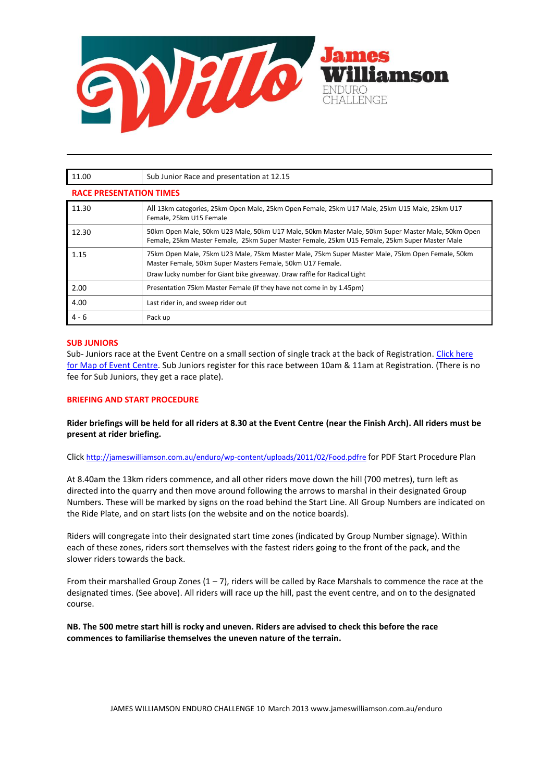

| 11.00                          | Sub Junior Race and presentation at 12.15                                                                                                                                                                                                 |  |
|--------------------------------|-------------------------------------------------------------------------------------------------------------------------------------------------------------------------------------------------------------------------------------------|--|
| <b>RACE PRESENTATION TIMES</b> |                                                                                                                                                                                                                                           |  |
| 11.30                          | All 13km categories, 25km Open Male, 25km Open Female, 25km U17 Male, 25km U15 Male, 25km U17<br>Female, 25km U15 Female                                                                                                                  |  |
| 12.30                          | 50km Open Male, 50km U23 Male, 50km U17 Male, 50km Master Male, 50km Super Master Male, 50km Open<br>Female, 25km Master Female, 25km Super Master Female, 25km U15 Female, 25km Super Master Male                                        |  |
| 1.15                           | 75km Open Male, 75km U23 Male, 75km Master Male, 75km Super Master Male, 75km Open Female, 50km<br>Master Female, 50km Super Masters Female, 50km U17 Female.<br>Draw lucky number for Giant bike giveaway. Draw raffle for Radical Light |  |
| 2.00                           | Presentation 75km Master Female (if they have not come in by 1.45pm)                                                                                                                                                                      |  |
| 4.00                           | Last rider in, and sweep rider out                                                                                                                                                                                                        |  |
| $4 - 6$                        | Pack up                                                                                                                                                                                                                                   |  |

# **SUB JUNIORS**

Sub- Juniors race at the Event Centre on a small section of single track at the back of Registration. [Click here](http://jameswilliamson.com.au/enduro/wp-content/uploads/2011/02/Event-Centre-plan.pdf)  [for Map of Event Centre.](http://jameswilliamson.com.au/enduro/wp-content/uploads/2011/02/Event-Centre-plan.pdf) Sub Juniors register for this race between 10am & 11am at Registration. (There is no fee for Sub Juniors, they get a race plate).

# **BRIEFING AND START PROCEDURE**

**Rider briefings will be held for all riders at 8.30 at the Event Centre (near the Finish Arch). All riders must be present at rider briefing.** 

Click [http://jameswilliamson.com.au/enduro/wp-content/uploads/2011/02/Food.pdfre](http://jameswilliamson.com.au/enduro/wp-content/uploads/2011/02/Start-Area-2.pdf) for PDF Start Procedure Plan

At 8.40am the 13km riders commence, and all other riders move down the hill (700 metres), turn left as directed into the quarry and then move around following the arrows to marshal in their designated Group Numbers. These will be marked by signs on the road behind the Start Line. All Group Numbers are indicated on the Ride Plate, and on start lists (on the website and on the notice boards).

Riders will congregate into their designated start time zones (indicated by Group Number signage). Within each of these zones, riders sort themselves with the fastest riders going to the front of the pack, and the slower riders towards the back.

From their marshalled Group Zones  $(1 - 7)$ , riders will be called by Race Marshals to commence the race at the designated times. (See above). All riders will race up the hill, past the event centre, and on to the designated course.

**NB. The 500 metre start hill is rocky and uneven. Riders are advised to check this before the race commences to familiarise themselves the uneven nature of the terrain.**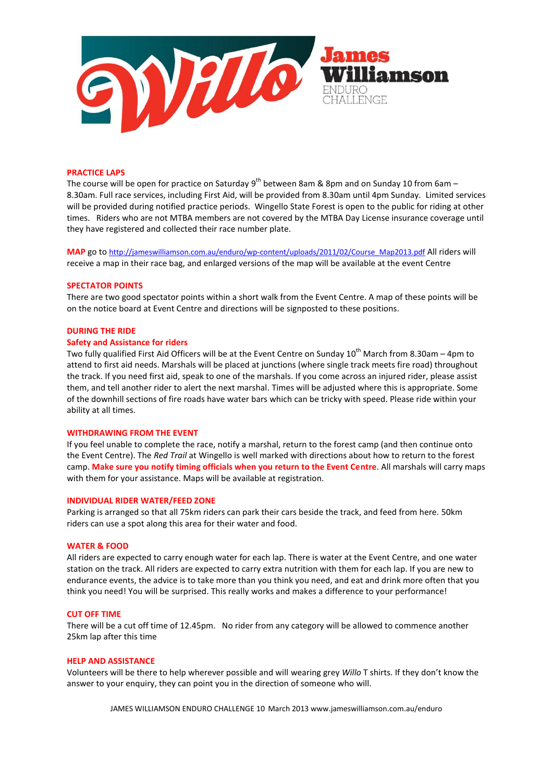

#### **PRACTICE LAPS**

The course will be open for practice on Saturday 9<sup>th</sup> between 8am & 8pm and on Sunday 10 from 6am – 8.30am. Full race services, including First Aid, will be provided from 8.30am until 4pm Sunday. Limited services will be provided during notified practice periods. Wingello State Forest is open to the public for riding at other times. Riders who are not MTBA members are not covered by the MTBA Day License insurance coverage until they have registered and collected their race number plate.

**MAP** go to [http://jameswilliamson.com.au/enduro/wp-content/uploads/2011/02/Course\\_Map2013.pdf](http://jameswilliamson.com.au/enduro/wp-content/uploads/2011/02/Course_Map2013.pdf) All riders will receive a map in their race bag, and enlarged versions of the map will be available at the event Centre

#### **SPECTATOR POINTS**

There are two good spectator points within a short walk from the Event Centre. A map of these points will be on the notice board at Event Centre and directions will be signposted to these positions.

# **DURING THE RIDE**

# **Safety and Assistance for riders**

Two fully qualified First Aid Officers will be at the Event Centre on Sunday 10<sup>th</sup> March from 8.30am – 4pm to attend to first aid needs. Marshals will be placed at junctions (where single track meets fire road) throughout the track. If you need first aid, speak to one of the marshals. If you come across an injured rider, please assist them, and tell another rider to alert the next marshal. Times will be adjusted where this is appropriate. Some of the downhill sections of fire roads have water bars which can be tricky with speed. Please ride within your ability at all times.

#### **WITHDRAWING FROM THE EVENT**

If you feel unable to complete the race, notify a marshal, return to the forest camp (and then continue onto the Event Centre). The *Red Trail* at Wingello is well marked with directions about how to return to the forest camp. **Make sure you notify timing officials when you return to the Event Centre**. All marshals will carry maps with them for your assistance. Maps will be available at registration.

# **INDIVIDUAL RIDER WATER/FEED ZONE**

Parking is arranged so that all 75km riders can park their cars beside the track, and feed from here. 50km riders can use a spot along this area for their water and food.

#### **WATER & FOOD**

All riders are expected to carry enough water for each lap. There is water at the Event Centre, and one water station on the track. All riders are expected to carry extra nutrition with them for each lap. If you are new to endurance events, the advice is to take more than you think you need, and eat and drink more often that you think you need! You will be surprised. This really works and makes a difference to your performance!

#### **CUT OFF TIME**

There will be a cut off time of 12.45pm. No rider from any category will be allowed to commence another 25km lap after this time

#### **HELP AND ASSISTANCE**

Volunteers will be there to help wherever possible and will wearing grey *Willo* T shirts. If they don't know the answer to your enquiry, they can point you in the direction of someone who will.

JAMES WILLIAMSON ENDURO CHALLENGE 10 March 2013 www.jameswilliamson.com.au/enduro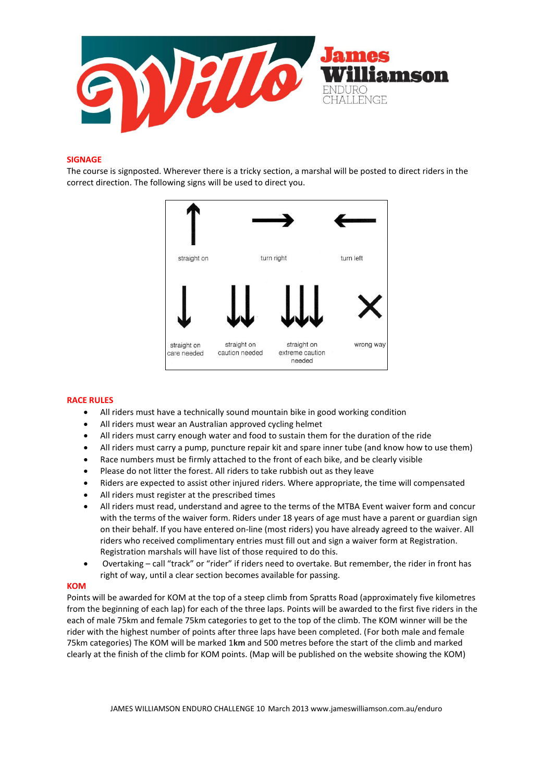

# **SIGNAGE**

The course is signposted. Wherever there is a tricky section, a marshal will be posted to direct riders in the correct direction. The following signs will be used to direct you.



# **RACE RULES**

- All riders must have a technically sound mountain bike in good working condition
- All riders must wear an Australian approved cycling helmet
- All riders must carry enough water and food to sustain them for the duration of the ride
- All riders must carry a pump, puncture repair kit and spare inner tube (and know how to use them)
- Race numbers must be firmly attached to the front of each bike, and be clearly visible
- Please do not litter the forest. All riders to take rubbish out as they leave
- Riders are expected to assist other injured riders. Where appropriate, the time will compensated
- All riders must register at the prescribed times
- All riders must read, understand and agree to the terms of the MTBA Event waiver form and concur with the terms of the waiver form. Riders under 18 years of age must have a parent or guardian sign on their behalf. If you have entered on-line (most riders) you have already agreed to the waiver. All riders who received complimentary entries must fill out and sign a waiver form at Registration. Registration marshals will have list of those required to do this.
- Overtaking call "track" or "rider" if riders need to overtake. But remember, the rider in front has right of way, until a clear section becomes available for passing.

## **KOM**

Points will be awarded for KOM at the top of a steep climb from Spratts Road (approximately five kilometres from the beginning of each lap) for each of the three laps. Points will be awarded to the first five riders in the each of male 75km and female 75km categories to get to the top of the climb. The KOM winner will be the rider with the highest number of points after three laps have been completed. (For both male and female 75km categories) The KOM will be marked 1**km** and 500 metres before the start of the climb and marked clearly at the finish of the climb for KOM points. (Map will be published on the website showing the KOM)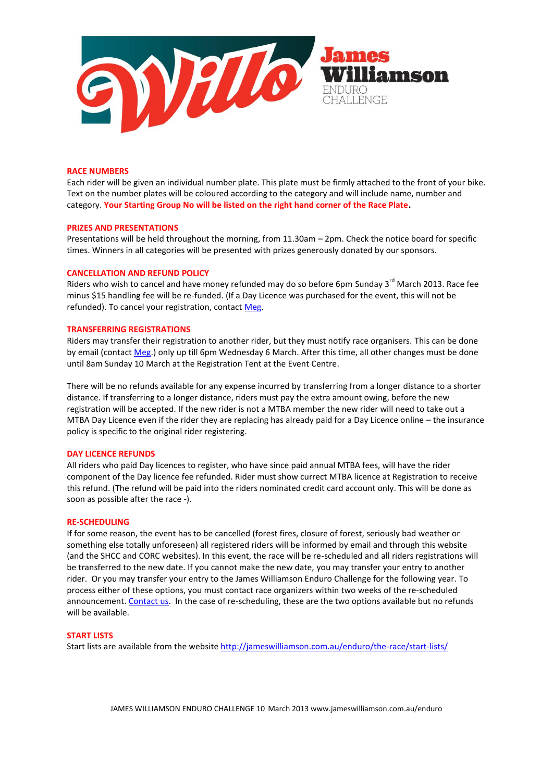

## **RACE NUMBERS**

Each rider will be given an individual number plate. This plate must be firmly attached to the front of your bike. Text on the number plates will be coloured according to the category and will include name, number and category. **Your Starting Group No will be listed on the right hand corner of the Race Plate.**

#### **PRIZES AND PRESENTATIONS**

Presentations will be held throughout the morning, from 11.30am – 2pm. Check the notice board for specific times. Winners in all categories will be presented with prizes generously donated by our sponsors.

#### **CANCELLATION AND REFUND POLICY**

Riders who wish to cancel and have money refunded may do so before 6pm Sunday 3<sup>rd</sup> March 2013. Race fee minus \$15 handling fee will be re-funded. (If a Day Licence was purchased for the event, this will not be refunded). To cancel your registration, contact [Meg.](mailto:megnjohn@hinet.net.au)

# **TRANSFERRING REGISTRATIONS**

Riders may transfer their registration to another rider, but they must notify race organisers. This can be done by email (contac[t Meg.](mailto:megnjohn@hinet.net.au)) only up till 6pm Wednesday 6 March. After this time, all other changes must be done until 8am Sunday 10 March at the Registration Tent at the Event Centre.

There will be no refunds available for any expense incurred by transferring from a longer distance to a shorter distance. If transferring to a longer distance, riders must pay the extra amount owing, before the new registration will be accepted. If the new rider is not a MTBA member the new rider will need to take out a MTBA Day Licence even if the rider they are replacing has already paid for a Day Licence online – the insurance policy is specific to the original rider registering.

#### **DAY LICENCE REFUNDS**

All riders who paid Day licences to register, who have since paid annual MTBA fees, will have the rider component of the Day licence fee refunded. Rider must show currect MTBA licence at Registration to receive this refund. (The refund will be paid into the riders nominated credit card account only. This will be done as soon as possible after the race -).

#### **RE-SCHEDULING**

If for some reason, the event has to be cancelled (forest fires, closure of forest, seriously bad weather or something else totally unforeseen) all registered riders will be informed by email and through this website (and the SHCC and CORC websites). In this event, the race will be re-scheduled and all riders registrations will be transferred to the new date. If you cannot make the new date, you may transfer your entry to another rider. Or you may transfer your entry to the James Williamson Enduro Challenge for the following year. To process either of these options, you must contact race organizers within two weeks of the re-scheduled announcement. [Contact](mailto:megnjohn@hinet.net.au) us. In the case of re-scheduling, these are the two options available but no refunds will be available.

# **START LISTS**

Start lists are available from the websit[e http://jameswilliamson.com.au/enduro/the-race/start-lists/](http://jameswilliamson.com.au/enduro/the-race/start-lists/)